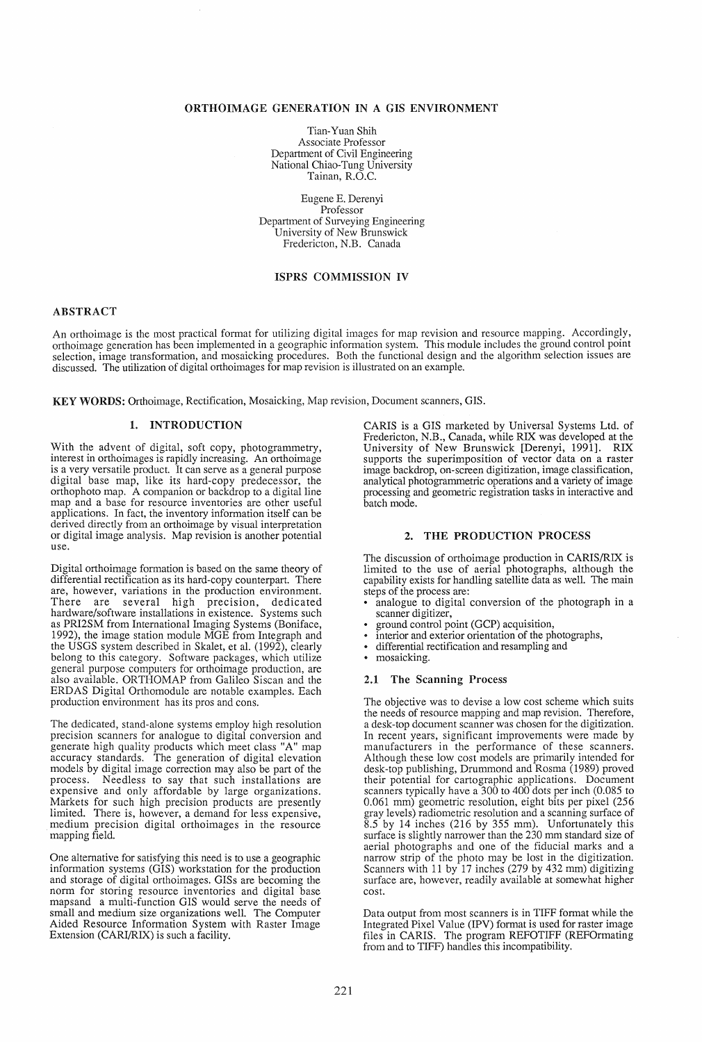### ORTHOIMAGE GENERATION IN A GIS ENVIRONMENT

Tian-Yuan Shih Associate Professor Department of Civil Engineering National Chiao-Tung University Tainan, R.O.C.

Eugene E. Derenyi Professor Department of Surveying Engineering University of New Brunswick Fredericton, N.B. Canada

# ISPRS COMMISSION IV

## ABSTRACT

An orthoimage is the most practical format for utilizing digital images for map revision and resource mapping. Accordingly, orthoimage generation has been implemented in a geographic information system. This module includes the ground control pomt selection, image transformation, and mosaicking procedures. Both the functional design and the algorithm selection issues are discussed. The utilization of digital orthoimages for map revision is illustrated on an example.

KEY WORDS: Orthoimage, Rectification, Mosaicking, Map revision, Document scanners, GIS.

## 1. INTRODUCTION

With the advent of digital, soft copy, photogrammetry, interest in orthoimages is rapidly increasing. An orthoimage is a very versatile product. It can serve as a general purpose digital base map, like its hard-copy predecessor, the orthophoto map. A companion or backdrop to a digital line map and a base for resource inventories are other useful applications. In fact, the inventory information itself can be derived directly from an orthoimage by visual interpretation or digital image analysis. Map revision is another potential use.

Digital orthoimage formation is based on the same theory of differential rectification as its hard-copy counterpart. There are, however, variations in the production environment. There are several high precision, dedicated hardware/software installations in existence. Systems such as PRI2SM from International Imaging Systems (Boniface, 1992), the image station module MGE from Integraph and the USGS system described in Skalet, et al. (1992), clearly belong to this category. Software packages, which utilize general purpose computers for orthoimage production, are also available. ORTHOMAP from Galileo Siscan and the ERDAS Digital Orthomodule are notable examples. Each production environment has its pros and cons.

The dedicated, stand-alone systems employ high resolution precision scanners for analogue to digital conversion and generate high quality products which meet class "A" map accuracy standards. The generation of digital elevation models by digital image correction may also be part of the process. Needless to say that such installations are expensive and only affordable by large organizations. Markets for such high precision products are presently limited. There is, however, a demand for less expensive, medium precision digital orthoimages in the resource mapping field.

One alternative for satisfying this need is to use a geographic information systems (GIS) workstation for the production and storage of digital orthoimages. GISs are becoming the norm for storing resource inventories and digital base mapsand a multi-function GIS would serve the needs of small and medium size organizations well. The Computer Aided Resource Information System with Raster Image Extension (CARI/RIX) is such a facility.

CARIS is a GIS marketed by Universal Systems Ltd. of Fredericton, N.B., Canada, while RIX was developed at the University of New Brunswick [Derenyi, 1991]. RIX supports the superimposition of vector data on a raster image backdrop, on-screen digitization, image classification, analytical photogrammetric operations and a variety of image processing and geometric registration tasks in interactive and batch mode.

## 2. THE PRODUCTION PROCESS

The discussion of orthoimage production in CARIS/RIX is limited to the use of aerial photographs, although the capability exists for handling satellite data as well. The main

- analogue to digital conversion of the photograph in a scanner digitizer,
- ground control point (GCP) acquisition,
- interior and exterior orientation of the photographs,
- differential rectification and resampling and<br>• mosaicking
- mosaicking.

#### 2.1 The Scanning Process

The objective was to devise a low cost scheme which suits the needs of resource mapping and map revision. Therefore, a desk-top document scanner was chosen for the digitization. In recent years, significant improvements were made by manufacturers in the performance of these scanners. Although these low cost models are primarily intended for desk-top publishing, Drummond and Rosma (1989) proved their potential for cartographic applications. Document scanners typically have a 300 to 400 dots per inch (0.085 to 0.061 mm) geometric resolution, eight bits per pixel (256 gray levels) radiometric resolution and a scanning surface of 8.5 by 14 inches (216 by 355 mm). Unfortunately this surface is slightly narrower than the 230 mm standard size of aerial photographs and one of the fiducial marks and a narrow strip of the photo may be lost in the digitization. Scanners with 11 by 17 inches (279 by 432 mm) digitizing surface are, however, readily available at somewhat higher cost.

Data output from most scanners is in TIFF format while the Integrated Pixel Value (IPV) format is used for raster image files in CARIS. The program REFOTIFF (REFOrmating from and to TIFF) handles this incompatibility.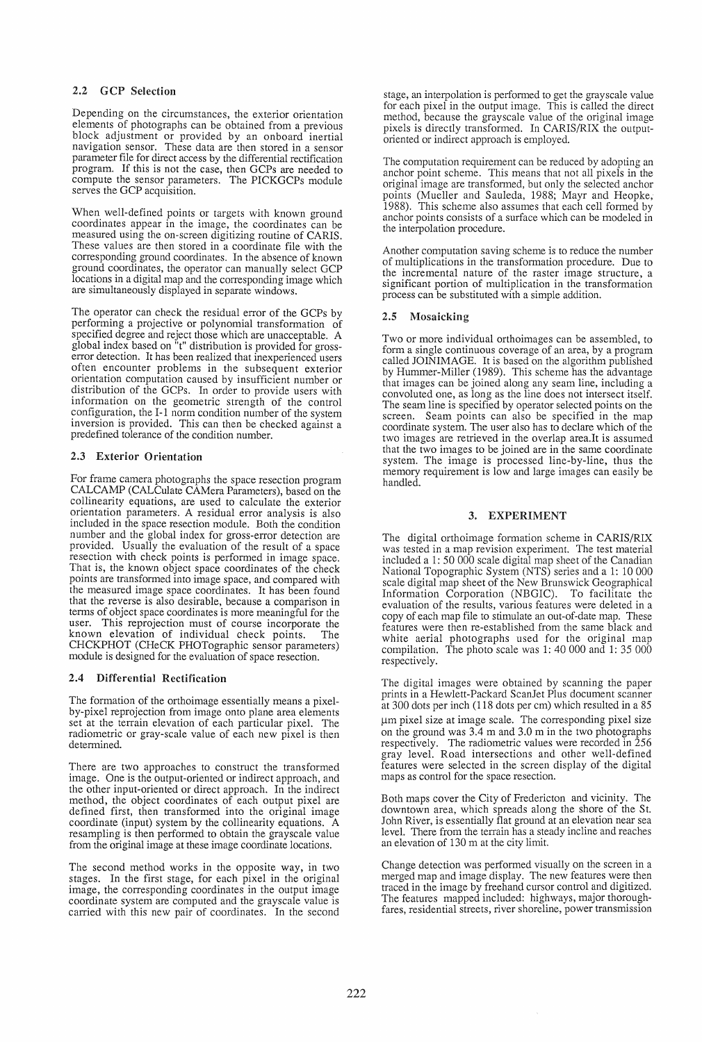# 2.2 GCP Selection

Depending on the circumstances, the exterior orientation elements of photographs can be obtained from a previous block adjustment or provided by an onboard inertial navigation sensor. These data are then stored in a sensor parameter file for direct access by the differential rectification program. If this is not the case, then GCPs are needed to compute the sensor parameters. The PICKGCPs module serves the GCP acquisition.

When well-defined points or targets with known ground coordinates appear in the image, the coordinates can be measured using the on-screen digitizing routine of CARIS. These values are then stored in a coordinate file with the corresponding ground coordinates. In the absence of known ground coordinates, the operator can manually select GCP locations in a digital map and the corresponding image which are simultaneously displayed in separate windows.

The operator can check the residual error of the GCPs by performing a projective or polynomial transformation of specified degree and reject those which are unacceptable. A global index based on "t" distribution is provided for grosserror detection. It has been realized that inexperienced users often encounter problems in the subsequent exterior orientation computation caused by insufficient number or distribution of the GCPs. In order to provide users with information on the geometric strength of the control configuration, the I-I norm condition number of the system inversion is provided. This can then be checked against a predefined tolerance of the condition number.

## 2.3 Exterior Orientation

For frame camera photographs the space resection program CALCAMP (CALCulate CAMera Parameters), based on the collinearity equations, are used to calculate the exterior orientation parameters. A residual error analysis is also included in the space resection module. Both the condition number and the global index for gross-error detection are provided. Usually the evaluation of the result of a space resection with check points is performed in image space. That is, the known object space coordinates of the check points are transformed into image space, and compared with the measured image space coordinates. It has been found that the reverse is also desirable, because a comparison in terms of object space coordinates is more meaningful for the user. This reprojection must of course incorporate the known elevation of individual check points. The known elevation of individual check points. The CHCKPHOT (CHeCK PHOTographic sensor parameters) module is designed for the evaluation of space resection.

## 2.4 Differential Rectification

The formation of the orthoimage essentially means a pixelby-pixel reprojection from image onto plane area elements set at the terrain elevation of each particular pixel. The radiometric or gray-scale value of each new pixel is then determined.

There are two approaches to construct the transformed image. One is the output-oriented or indirect approach, and the other input-oriented or direct approach. In the indirect method, the object coordinates of each output pixel are defined first, then transformed into the original image coordinate (input) system by the collinearity equations. A resampling is then performed to obtain the grayscale value. from the original image at these image coordinate locations.

The second method works in the opposite way, in two stages. In the first stage, for each pixel in the original image, the corresponding coordinates in the output image coordinate system are computed and the grayscale value is carried with this new pair of coordinates. In the second stage, an interpolation is performed to get the grayscale value for each pixel in the output image. This is called the direct method, because the grayscale value of the original image pixels is directly transformed. In CARIS/RIX the outputoriented or indirect approach is employed.

The computation requirement can be reduced by adopting an anchor point scheme. This means that not all pixels in the original image are transformed, but only the selected anchor points (Mueller and Sauleda, 1988; Mayr and Heopke, 1988). This scheme also assumes that each cell formed by anchor points consists of a surface which can be modeled in the interpolation procedure.

Another computation saving scheme is to reduce the number of multiplications in the transformation procedure. Due to the incremental nature of the raster image structure, a significant portion of multiplication in the transformation process can be substituted with a simple addition.

### 2.5 Mosaicking

Two or more individual orthoimages can be assembled, to form a single continuous coverage of an area, by a program called JOINIMAGE. It is based on the algorithm published by Hummer-Miller (1989). This scheme has the advantage that images can be joined along any seam line, including a convoluted one, as long as the line does not intersect itself. The seam line is specified by operator selected points on the screen. Seam points can also be specified in the map coordinate system. The user also has to declare which of the two images are retrieved in the overlap area.It is assumed that the two images to be joined are in the same coordinate system. The image is processed line-by-line, thus the memory requirement is low and large images can easily be handled.

## 3. EXPERIMENT

The digital orthoimage formation scheme in CARIS/RIX was tested in a map revision experiment. The test material included a 1: 50 000 scale digital map sheet of the Canadian National Topographic System (NTS) series and a 1: 10 000 scale digital map sheet of the New Brunswick Geographical Information Corporation (NBGIC). To facilitate the evaluation of the results, various features were deleted in a copy of each map file to stimulate an out-of-date map. These features were then re-established from the same black and white aerial photographs used for the original map compilation. The photo scale was 1: 40 000 and 1: 35 000 respectively.

The digital images were obtained by scanning the paper prints in a Hewlett-Packard ScanJet Plus document scanner at 300 dots per inch (118 dots per cm) which resulted in a 85 um pixel size at image scale. The corresponding pixel size on the ground was 3.4 m and 3.0 m in the two photographs respectively. The radiometric values were recorded in 256 gray level. Road intersections and other well-defined features were selected in the screen display of the digital maps as control for the space resection.

Both maps cover the City of Fredericton and vicinity. The downtown area, which spreads along the shore of the St. John River, is essentially flat ground at an elevation near sea level. There from the terrain has a steady incline and reaches an elevation of 130 m at the city limit.

Change detection was performed visually on the screen in a merged map and image display. The new features were then traced in the image by freehand cursor control and digitized. The features mapped included: highways, major thoroughfares, residential streets, river shoreline, power transmission